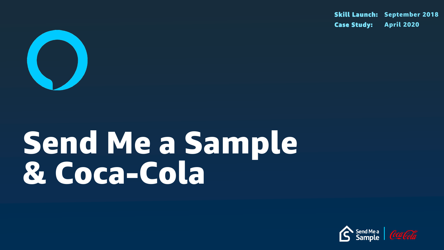

# Send Me a Sample & Coca-Cola

Skill Launch: September 2018 Case Study: April 2020



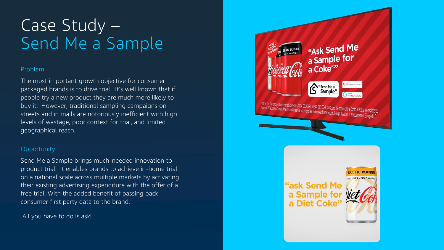### Problem

The most important growth objective for consumer packaged brands is to drive trial. It's well known that if people try a new product they are much more likely to buy it. However, traditional sampling campaigns on streets and in malls are notoriously inefficient with high levels of wastage, poor context for trial, and limited geographical reach.

### **Opportunity**

# Case Study – Send Me a Sample

Send Me a Sample brings much-needed innovation to product trial. It enables brands to achieve in-home trial on a national scale across multiple markets by activating their existing advertising expenditure with the offer of a free trial. With the added benefit of passing back consumer first party data to the brand.

All you have to do is ask!

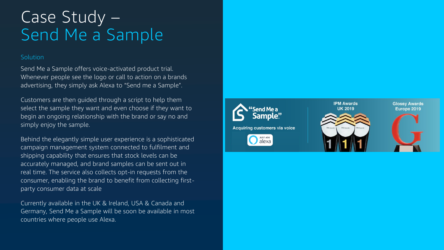### Solution

## Case Study – Send Me a Sample

Send Me a Sample offers voice-activated product trial. Whenever people see the logo or call to action on a brands advertising, they simply ask Alexa to "Send me a Sample".

Customers are then guided through a script to help them select the sample they want and even choose if they want to begin an ongoing relationship with the brand or say no and simply enjoy the sample.

Behind the elegantly simple user experience is a sophisticated campaign management system connected to fulfilment and shipping capability that ensures that stock levels can be accurately managed, and brand samples can be sent out in real time. The service also collects opt-in requests from the consumer, enabling the brand to benefit from collecting firstparty consumer data at scale

Currently available in the UK & Ireland, USA & Canada and Germany, Send Me a Sample will be soon be available in most countries where people use Alexa.



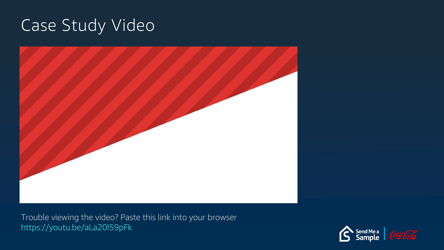## Case Study Video



Trouble viewing the video? Paste this link into your browser https://youtu.be/aLa20l59pFk



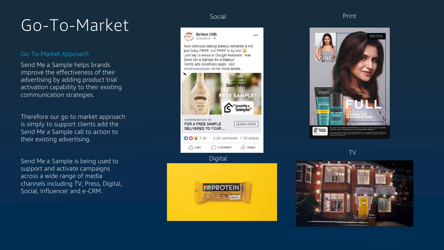# Go-To-Market Social Print

### Go -To -Market Approach

Send Me a Sample helps brands improve the effectiveness of their advertising by adding product trial activation capability to their existing communication strategies.

Therefore our go to market approach is simply to support clients add the Send Me a Sample call to action to their existing advertising.

Send Me a Sample is being used to support and activate campaigns across a wide range of media channels including TV, Press, Digital, Social, Influencer and e -CRM.



Now delicious tasting Baileys Almande is not just Dairy FREE, but FREE to try too! Just say to Alexa or Google Assistant: "Ask Send Me a Sample for a Baileys" Terms and conditions apply. Visit sendmeasample.net for more details.



Digital





TV

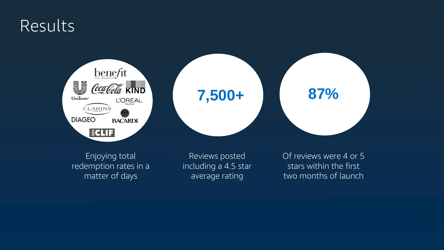### Results



Enjoying total redemption rates in a matter of days

Reviews posted including a 4.5 star average rating

Of reviews were 4 or 5 stars within the first two months of launch